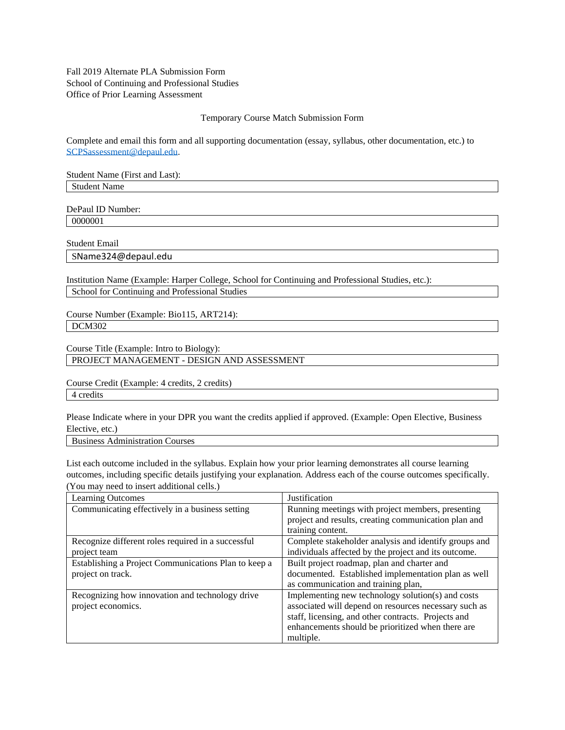Fall 2019 Alternate PLA Submission Form School of Continuing and Professional Studies Office of Prior Learning Assessment

#### Temporary Course Match Submission Form

Complete and email this form and all supporting documentation (essay, syllabus, other documentation, etc.) to [SCPSassessment@depaul.edu.](mailto:SCPSassessment@depaul.edu)

Student Name (First and Last): Student Name

DePaul ID Number: 0000001

Student Email

SName324@depaul.edu

Institution Name (Example: Harper College, School for Continuing and Professional Studies, etc.): School for Continuing and Professional Studies

Course Number (Example: Bio115, ART214): DCM302

Course Title (Example: Intro to Biology): PROJECT MANAGEMENT - DESIGN AND ASSESSMENT

Course Credit (Example: 4 credits, 2 credits) 4 credits

Please Indicate where in your DPR you want the credits applied if approved. (Example: Open Elective, Business Elective, etc.)

Business Administration Courses

List each outcome included in the syllabus. Explain how your prior learning demonstrates all course learning outcomes, including specific details justifying your explanation. Address each of the course outcomes specifically. (You may need to insert additional cells.)

| <b>Learning Outcomes</b>                             | Justification                                         |  |
|------------------------------------------------------|-------------------------------------------------------|--|
| Communicating effectively in a business setting      | Running meetings with project members, presenting     |  |
|                                                      | project and results, creating communication plan and  |  |
|                                                      | training content.                                     |  |
| Recognize different roles required in a successful   | Complete stakeholder analysis and identify groups and |  |
| project team                                         | individuals affected by the project and its outcome.  |  |
| Establishing a Project Communications Plan to keep a | Built project roadmap, plan and charter and           |  |
| project on track.                                    | documented. Established implementation plan as well   |  |
|                                                      | as communication and training plan,                   |  |
| Recognizing how innovation and technology drive      | Implementing new technology solution(s) and costs     |  |
| project economics.                                   | associated will depend on resources necessary such as |  |
|                                                      | staff, licensing, and other contracts. Projects and   |  |
|                                                      | enhancements should be prioritized when there are     |  |
|                                                      | multiple.                                             |  |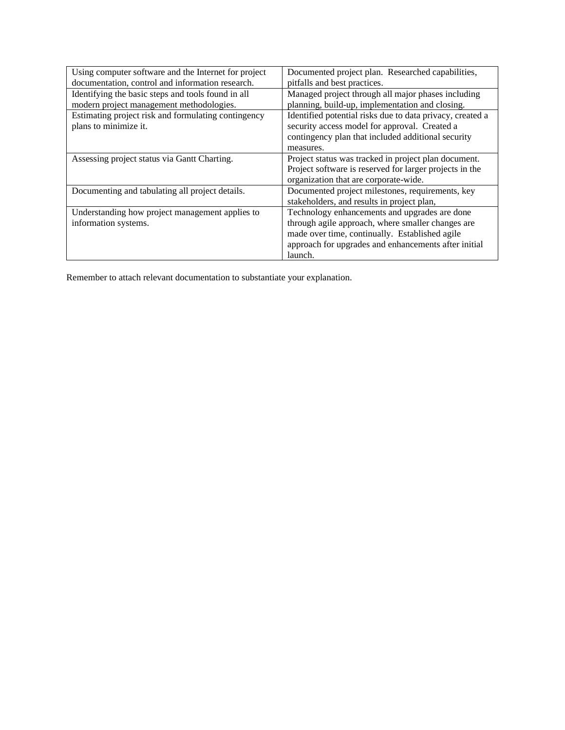| Using computer software and the Internet for project | Documented project plan. Researched capabilities,         |  |
|------------------------------------------------------|-----------------------------------------------------------|--|
| documentation, control and information research.     | pitfalls and best practices.                              |  |
| Identifying the basic steps and tools found in all   | Managed project through all major phases including        |  |
| modern project management methodologies.             | planning, build-up, implementation and closing.           |  |
| Estimating project risk and formulating contingency  | Identified potential risks due to data privacy, created a |  |
| plans to minimize it.                                | security access model for approval. Created a             |  |
|                                                      | contingency plan that included additional security        |  |
|                                                      | measures.                                                 |  |
| Assessing project status via Gantt Charting.         | Project status was tracked in project plan document.      |  |
|                                                      | Project software is reserved for larger projects in the   |  |
|                                                      | organization that are corporate-wide.                     |  |
| Documenting and tabulating all project details.      | Documented project milestones, requirements, key          |  |
|                                                      | stakeholders, and results in project plan,                |  |
| Understanding how project management applies to      | Technology enhancements and upgrades are done             |  |
| information systems.                                 | through agile approach, where smaller changes are         |  |
|                                                      | made over time, continually. Established agile            |  |
|                                                      | approach for upgrades and enhancements after initial      |  |
|                                                      | launch.                                                   |  |

Remember to attach relevant documentation to substantiate your explanation.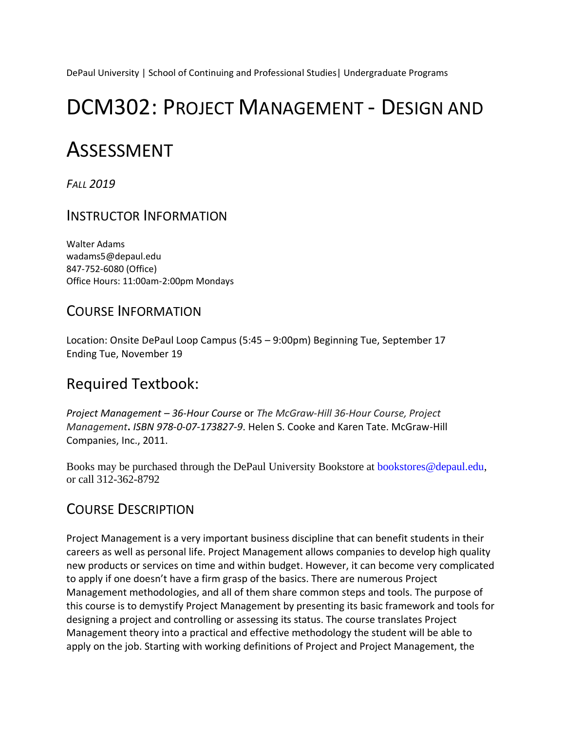DePaul University | School of Continuing and Professional Studies| Undergraduate Programs

# DCM302: PROJECT MANAGEMENT - DESIGN AND

# ASSESSMENT

*FALL 2019* 

INSTRUCTOR INFORMATION

Walter Adams wadams5@depaul.edu 847-752-6080 (Office) Office Hours: 11:00am-2:00pm Mondays

# COURSE INFORMATION

Location: Onsite DePaul Loop Campus (5:45 – 9:00pm) Beginning Tue, September 17 Ending Tue, November 19

# Required Textbook:

*Project Management – 36-Hour Course* or *The McGraw-Hill 36-Hour Course, Project Management***.** *ISBN 978-0-07-173827-9*. Helen S. Cooke and Karen Tate. McGraw-Hill Companies, Inc., 2011.

Books may be purchased through the DePaul University Bookstore at bookstores@depaul.edu, or call 312-362-8792

# COURSE DESCRIPTION

Project Management is a very important business discipline that can benefit students in their careers as well as personal life. Project Management allows companies to develop high quality new products or services on time and within budget. However, it can become very complicated to apply if one doesn't have a firm grasp of the basics. There are numerous Project Management methodologies, and all of them share common steps and tools. The purpose of this course is to demystify Project Management by presenting its basic framework and tools for designing a project and controlling or assessing its status. The course translates Project Management theory into a practical and effective methodology the student will be able to apply on the job. Starting with working definitions of Project and Project Management, the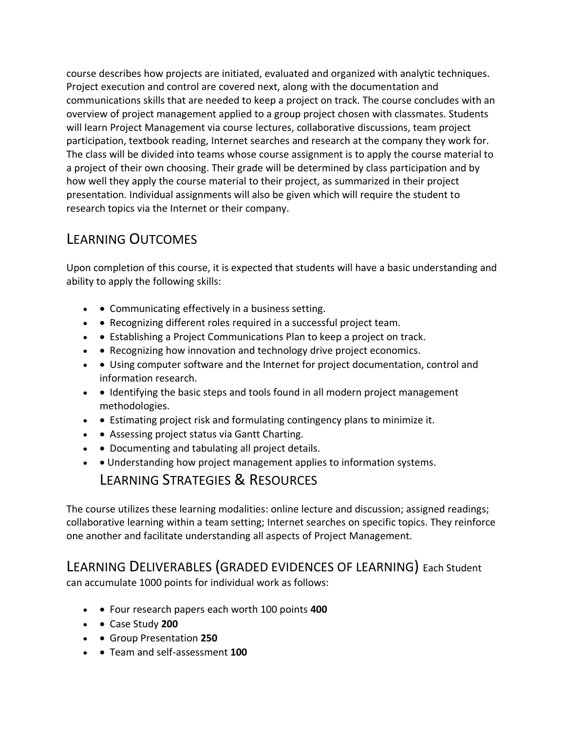course describes how projects are initiated, evaluated and organized with analytic techniques. Project execution and control are covered next, along with the documentation and communications skills that are needed to keep a project on track. The course concludes with an overview of project management applied to a group project chosen with classmates. Students will learn Project Management via course lectures, collaborative discussions, team project participation, textbook reading, Internet searches and research at the company they work for. The class will be divided into teams whose course assignment is to apply the course material to a project of their own choosing. Their grade will be determined by class participation and by how well they apply the course material to their project, as summarized in their project presentation. Individual assignments will also be given which will require the student to research topics via the Internet or their company.

# LEARNING OUTCOMES

Upon completion of this course, it is expected that students will have a basic understanding and ability to apply the following skills:

- • Communicating effectively in a business setting.
- • Recognizing different roles required in a successful project team.
- • Establishing a Project Communications Plan to keep a project on track.
- • Recognizing how innovation and technology drive project economics.
- • Using computer software and the Internet for project documentation, control and information research.
- • Identifying the basic steps and tools found in all modern project management methodologies.
- • Estimating project risk and formulating contingency plans to minimize it.
- • Assessing project status via Gantt Charting.
- • Documenting and tabulating all project details.
- • Understanding how project management applies to information systems.

# LEARNING STRATEGIES & RESOURCES

The course utilizes these learning modalities: online lecture and discussion; assigned readings; collaborative learning within a team setting; Internet searches on specific topics. They reinforce one another and facilitate understanding all aspects of Project Management.

# LEARNING DELIVERABLES (GRADED EVIDENCES OF LEARNING) Each Student

can accumulate 1000 points for individual work as follows:

- • Four research papers each worth 100 points **400**
- • Case Study **200**
- • Group Presentation **250**
- • Team and self-assessment **100**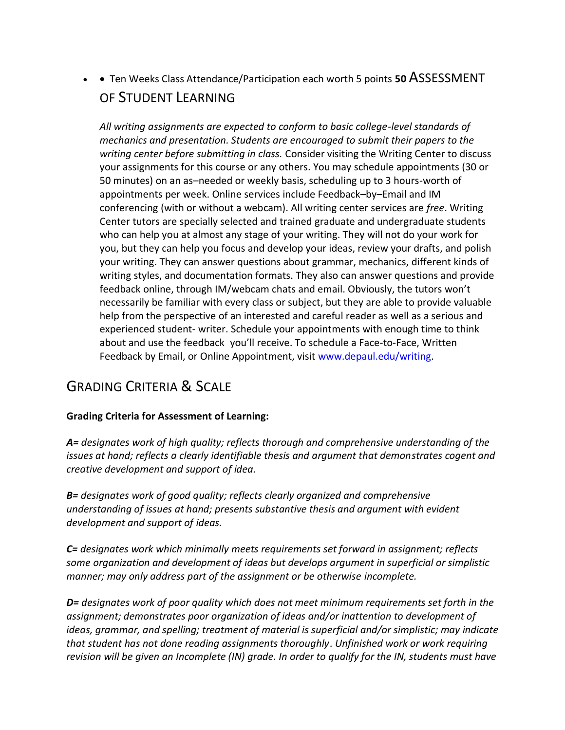• • Ten Weeks Class Attendance/Participation each worth 5 points **50** ASSESSMENT OF STUDENT LEARNING

*All writing assignments are expected to conform to basic college-level standards of mechanics and presentation. Students are encouraged to submit their papers to the writing center before submitting in class.* Consider visiting the Writing Center to discuss your assignments for this course or any others. You may schedule appointments (30 or 50 minutes) on an as–needed or weekly basis, scheduling up to 3 hours-worth of appointments per week. Online services include Feedback–by–Email and IM conferencing (with or without a webcam). All writing center services are *free*. Writing Center tutors are specially selected and trained graduate and undergraduate students who can help you at almost any stage of your writing. They will not do your work for you, but they can help you focus and develop your ideas, review your drafts, and polish your writing. They can answer questions about grammar, mechanics, different kinds of writing styles, and documentation formats. They also can answer questions and provide feedback online, through IM/webcam chats and email. Obviously, the tutors won't necessarily be familiar with every class or subject, but they are able to provide valuable help from the perspective of an interested and careful reader as well as a serious and experienced student- writer. Schedule your appointments with enough time to think about and use the feedback you'll receive. To schedule a Face-to-Face, Written Feedback by Email, or Online Appointment, visit www.depaul.edu/writing.

# GRADING CRITERIA & SCALE

# **Grading Criteria for Assessment of Learning:**

*A= designates work of high quality; reflects thorough and comprehensive understanding of the issues at hand; reflects a clearly identifiable thesis and argument that demonstrates cogent and creative development and support of idea.* 

*B= designates work of good quality; reflects clearly organized and comprehensive understanding of issues at hand; presents substantive thesis and argument with evident development and support of ideas.* 

*C= designates work which minimally meets requirements set forward in assignment; reflects some organization and development of ideas but develops argument in superficial or simplistic manner; may only address part of the assignment or be otherwise incomplete.* 

*D= designates work of poor quality which does not meet minimum requirements set forth in the assignment; demonstrates poor organization of ideas and/or inattention to development of ideas, grammar, and spelling; treatment of material is superficial and/or simplistic; may indicate that student has not done reading assignments thoroughly*. *Unfinished work or work requiring revision will be given an Incomplete (IN) grade. In order to qualify for the IN, students must have*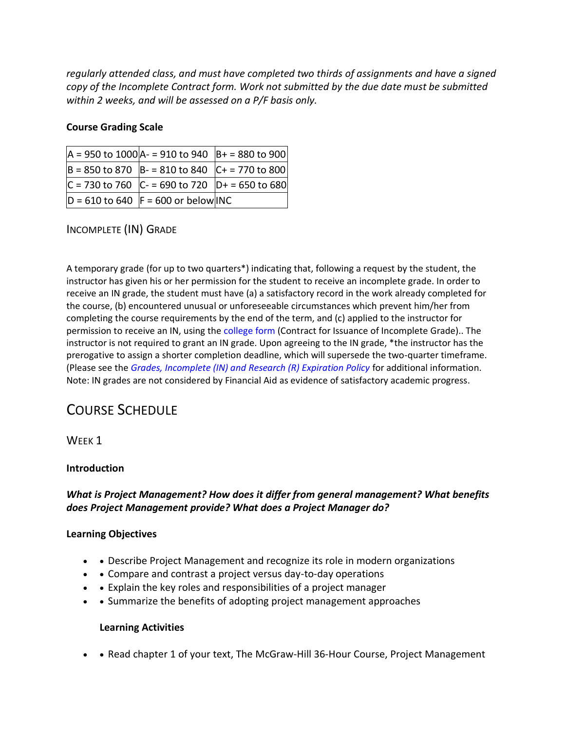*regularly attended class, and must have completed two thirds of assignments and have a signed copy of the Incomplete Contract form. Work not submitted by the due date must be submitted within 2 weeks, and will be assessed on a P/F basis only.* 

### **Course Grading Scale**

| $ A = 950$ to 1000 $ A - 910$ to 940 $ B + 980$ to 900 |  |
|--------------------------------------------------------|--|
| $ B = 850$ to 870 $ B - 810$ to 840 $ C + 770$ to 800  |  |
| $ C = 730$ to 760 $ C - 690$ to 720 $ D + 650$ to 680  |  |
| $D = 610$ to 640  F = 600 or below INC                 |  |

# INCOMPLETE (IN) GRADE

A temporary grade (for up to two quarters\*) indicating that, following a request by the student, the instructor has given his or her permission for the student to receive an incomplete grade. In order to receive an IN grade, the student must have (a) a satisfactory record in the work already completed for the course, (b) encountered unusual or unforeseeable circumstances which prevent him/her from completing the course requirements by the end of the term, and (c) applied to the instructor for permission to receive an IN, using the college form (Contract for Issuance of Incomplete Grade).. The instructor is not required to grant an IN grade. Upon agreeing to the IN grade, \*the instructor has the prerogative to assign a shorter completion deadline, which will supersede the two-quarter timeframe. (Please see the *Grades, Incomplete (IN) and Research (R) Expiration Policy* for additional information. Note: IN grades are not considered by Financial Aid as evidence of satisfactory academic progress.

# COURSE SCHEDULE

# WEEK<sub>1</sub>

#### **Introduction**

# *What is Project Management? How does it differ from general management? What benefits does Project Management provide? What does a Project Manager do?*

#### **Learning Objectives**

- • Describe Project Management and recognize its role in modern organizations
- • Compare and contrast a project versus day-to-day operations
- • Explain the key roles and responsibilities of a project manager
- • Summarize the benefits of adopting project management approaches

#### **Learning Activities**

• • Read chapter 1 of your text, The McGraw-Hill 36-Hour Course, Project Management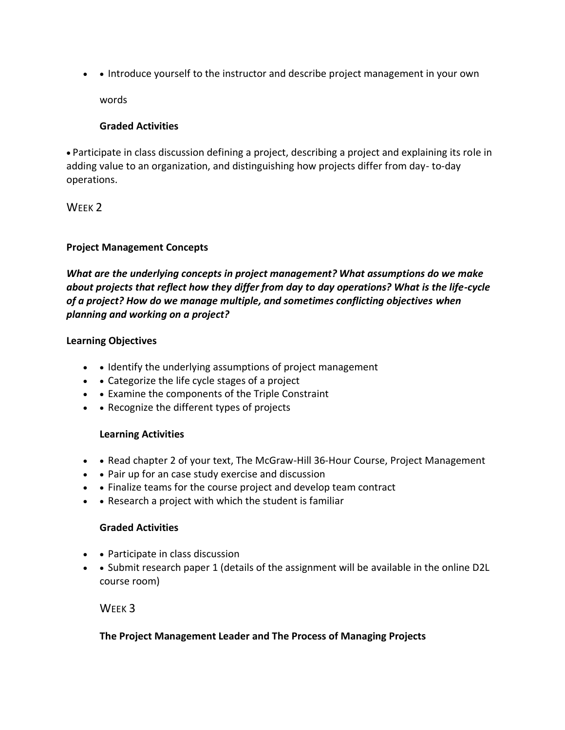• • Introduce yourself to the instructor and describe project management in your own

words

# **Graded Activities**

• Participate in class discussion defining a project, describing a project and explaining its role in adding value to an organization, and distinguishing how projects differ from day- to-day operations.

WFFK<sub>2</sub>

# **Project Management Concepts**

*What are the underlying concepts in project management? What assumptions do we make about projects that reflect how they differ from day to day operations? What is the life-cycle of a project? How do we manage multiple, and sometimes conflicting objectives when planning and working on a project?* 

# **Learning Objectives**

- • Identify the underlying assumptions of project management
- • Categorize the life cycle stages of a project
- • Examine the components of the Triple Constraint
- • Recognize the different types of projects

# **Learning Activities**

- • Read chapter 2 of your text, The McGraw-Hill 36-Hour Course, Project Management
- • Pair up for an case study exercise and discussion
- • Finalize teams for the course project and develop team contract
- • Research a project with which the student is familiar

# **Graded Activities**

- • Participate in class discussion
- • Submit research paper 1 (details of the assignment will be available in the online D2L course room)

WEEK 3

# **The Project Management Leader and The Process of Managing Projects**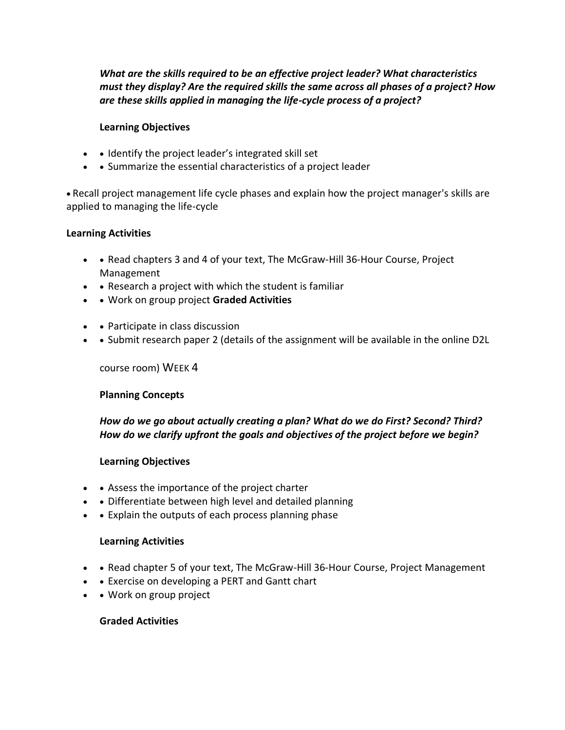*What are the skills required to be an effective project leader? What characteristics must they display? Are the required skills the same across all phases of a project? How are these skills applied in managing the life-cycle process of a project?* 

#### **Learning Objectives**

- • Identify the project leader's integrated skill set
- • Summarize the essential characteristics of a project leader

• Recall project management life cycle phases and explain how the project manager's skills are applied to managing the life-cycle

#### **Learning Activities**

- • Read chapters 3 and 4 of your text, The McGraw-Hill 36-Hour Course, Project Management
- • Research a project with which the student is familiar
- • Work on group project **Graded Activities**
- • Participate in class discussion
- • Submit research paper 2 (details of the assignment will be available in the online D2L

#### course room) WEEK 4

#### **Planning Concepts**

# *How do we go about actually creating a plan? What do we do First? Second? Third? How do we clarify upfront the goals and objectives of the project before we begin?*

#### **Learning Objectives**

- • Assess the importance of the project charter
- • Differentiate between high level and detailed planning
- • Explain the outputs of each process planning phase

#### **Learning Activities**

- • Read chapter 5 of your text, The McGraw-Hill 36-Hour Course, Project Management
- • Exercise on developing a PERT and Gantt chart
- • Work on group project

#### **Graded Activities**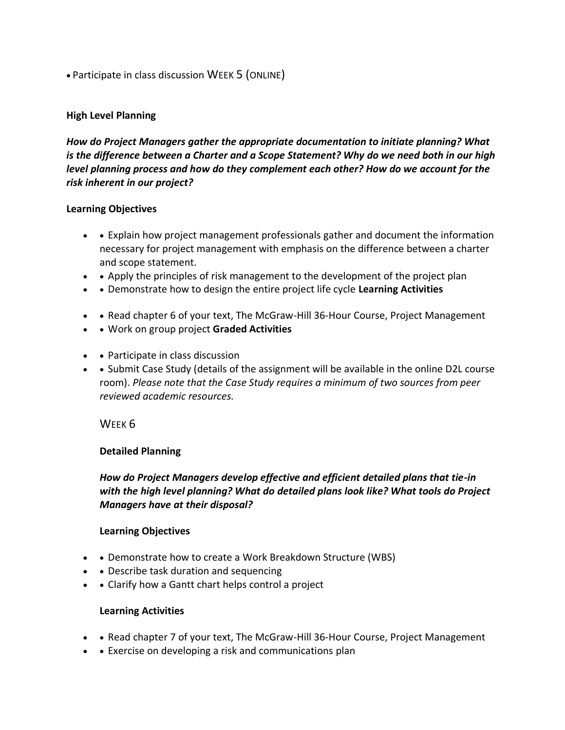• Participate in class discussion WEEK 5 (ONLINE)

#### **High Level Planning**

*How do Project Managers gather the appropriate documentation to initiate planning? What is the difference between a Charter and a Scope Statement? Why do we need both in our high level planning process and how do they complement each other? How do we account for the risk inherent in our project?* 

#### **Learning Objectives**

- • Explain how project management professionals gather and document the information necessary for project management with emphasis on the difference between a charter and scope statement.
- • Apply the principles of risk management to the development of the project plan
- • Demonstrate how to design the entire project life cycle **Learning Activities**
- • Read chapter 6 of your text, The McGraw-Hill 36-Hour Course, Project Management
- • Work on group project **Graded Activities**
- • Participate in class discussion
- • Submit Case Study (details of the assignment will be available in the online D2L course room). *Please note that the Case Study requires a minimum of two sources from peer reviewed academic resources.*

WEEK<sub>6</sub>

#### **Detailed Planning**

*How do Project Managers develop effective and efficient detailed plans that tie-in with the high level planning? What do detailed plans look like? What tools do Project Managers have at their disposal?* 

#### **Learning Objectives**

- • Demonstrate how to create a Work Breakdown Structure (WBS)
- • Describe task duration and sequencing
- • Clarify how a Gantt chart helps control a project

#### **Learning Activities**

- • Read chapter 7 of your text, The McGraw-Hill 36-Hour Course, Project Management
- • Exercise on developing a risk and communications plan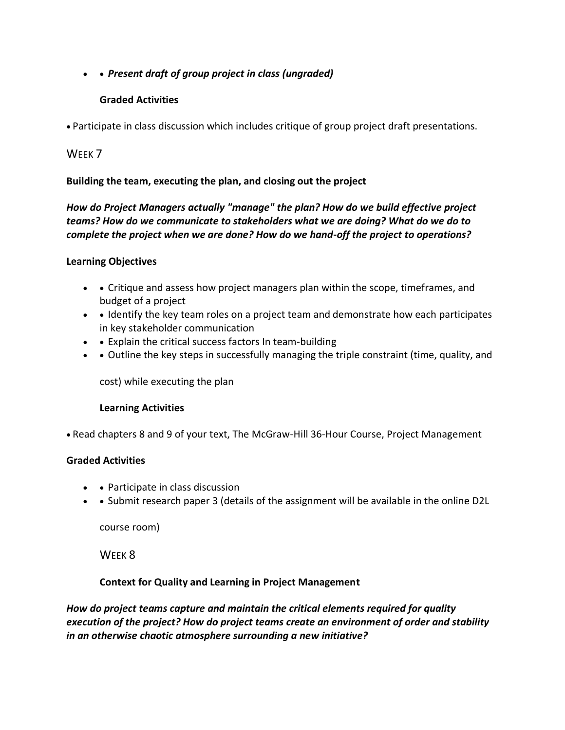• • *Present draft of group project in class (ungraded)* 

# **Graded Activities**

• Participate in class discussion which includes critique of group project draft presentations.

# WFFK<sub>7</sub>

### **Building the team, executing the plan, and closing out the project**

# *How do Project Managers actually "manage" the plan? How do we build effective project teams? How do we communicate to stakeholders what we are doing? What do we do to complete the project when we are done? How do we hand-off the project to operations?*

### **Learning Objectives**

- • Critique and assess how project managers plan within the scope, timeframes, and budget of a project
- • Identify the key team roles on a project team and demonstrate how each participates in key stakeholder communication
- • Explain the critical success factors In team-building
- • Outline the key steps in successfully managing the triple constraint (time, quality, and

cost) while executing the plan

#### **Learning Activities**

• Read chapters 8 and 9 of your text, The McGraw-Hill 36-Hour Course, Project Management

#### **Graded Activities**

- • Participate in class discussion
- • Submit research paper 3 (details of the assignment will be available in the online D2L

course room)

W<sub>FFK</sub> 8

#### **Context for Quality and Learning in Project Management**

*How do project teams capture and maintain the critical elements required for quality execution of the project? How do project teams create an environment of order and stability in an otherwise chaotic atmosphere surrounding a new initiative?*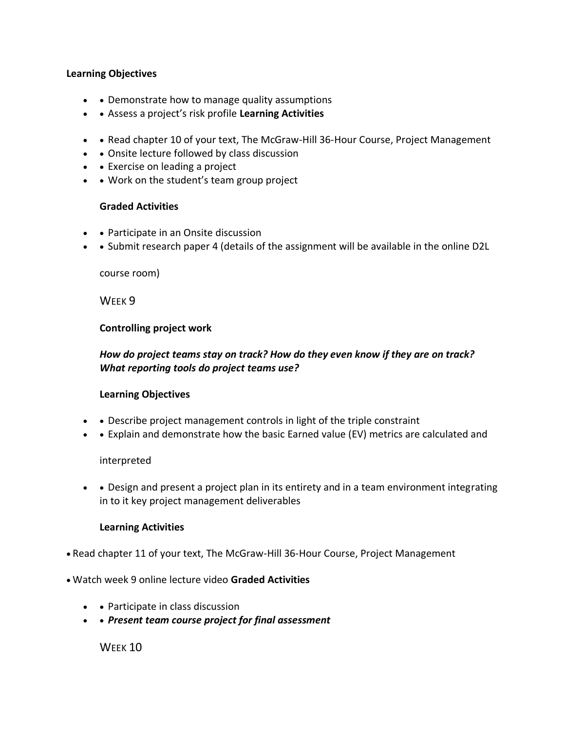#### **Learning Objectives**

- • Demonstrate how to manage quality assumptions
- • Assess a project's risk profile **Learning Activities**
- • Read chapter 10 of your text, The McGraw-Hill 36-Hour Course, Project Management
- • Onsite lecture followed by class discussion
- • Exercise on leading a project
- • Work on the student's team group project

#### **Graded Activities**

- • Participate in an Onsite discussion
- • Submit research paper 4 (details of the assignment will be available in the online D2L

course room)

WEEK<sub>9</sub>

#### **Controlling project work**

### *How do project teams stay on track? How do they even know if they are on track? What reporting tools do project teams use?*

#### **Learning Objectives**

- • Describe project management controls in light of the triple constraint
- Explain and demonstrate how the basic Earned value (EV) metrics are calculated and

#### interpreted

• • Design and present a project plan in its entirety and in a team environment integrating in to it key project management deliverables

#### **Learning Activities**

• Read chapter 11 of your text, The McGraw-Hill 36-Hour Course, Project Management

#### • Watch week 9 online lecture video **Graded Activities**

- • Participate in class discussion
- • *Present team course project for final assessment*

WFFK<sub>10</sub>